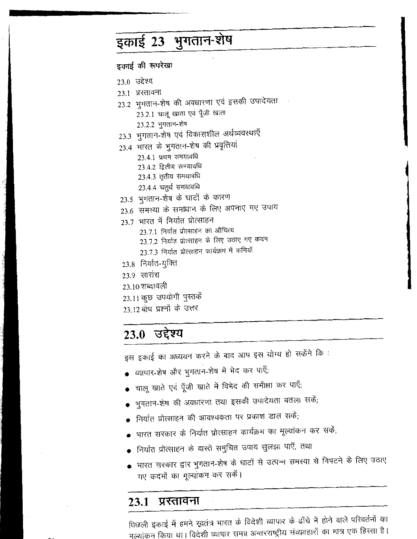# इकाई 23 भुगतान-शेष

इकाई की रूपरेखा

- 23.0 उद्देश्य
- 23.1 प्रस्तावना
- 23.2 भुगतान-शेष की अवधारणा एवं इसकी उपादेयता
	- 23.2.1 चालू खाता एवं पूँजी खाता

23.2.2 भुगतान-शेष

- 23.3 भुगतान-शेष एवं विकासशील अर्थव्यवस्थाएँ
- 23.4 भारत के भुगतान-शेष की प्रवृत्तियां
	- 23.4.1 प्रथम समयावधि
	- 23.4.2 द्वितीय समयावधि
	- 23.4.3 तृतीय समयावधि
	- 23.4.4 चतुर्थ समयावधि
- 23.5 भुगतान-शेष के घाटों के कारण
- 23.6 समस्या के समाधान के लिए अपनाए गए उपाय
- 23.7 भारत में निर्यात प्रोत्साहन
	- 23.7.1 निर्यात प्रोत्साहन का औचित्य
	- 23.7.2 निर्यात प्रोत्साहन के लिए उठाए गए कदम
	- 23.7.3 निर्यात प्रोत्साहन कार्यक्रम में कमियाँ
- 23.8 निर्यात-युक्ति
- 23.9 सारांश
- 23.10 शब्दावली

23.11 कुछ उपयोगी पुस्तकें

23.12 बोध प्रश्नों के उत्तर

### 23.0 उद्देश्य

इस इकाई का अध्ययन करने के बाद आप इस योग्य हो सकेंगे कि :

- व्यापार-शेष और भुगतान-शेष में भेद कर पाएँ;
- चालू खाते एवं पूँजी खाते में विभेद की समीक्षा कर पाएँ;
- भुगतान-शेष की अवधारणा तथा इसकी उपादेयता बतला सकें;
- निर्यात प्रोत्साहन की आवश्यकता पर प्रकाश डाल सकें;
- भारत सरकार के निर्यात प्रोत्साहन कार्यक्रम का मूल्यांकन कर सकें;
- निर्यात प्रोत्साहन के वास्ते समुचित उपाय सुलझा पाएँ, तथा
- भारत सरकार द्वार भुगतान-शेष के घाटों से उत्पन्न समस्या से निपटने के लिए उठाए गए कदमों का मूल्यांकन कर सकें।

#### प्रस्तावना 23.1

पिछली इकाई में हमने स्वतंत्र भारत के विदेशी व्यापार के ढाँचे में होने वाले परिवर्तनों का मुल्यांकन किया था। विदेशी व्यापार समग्र अन्तरराष्ट्रीय संव्यवहारों का मात्र एक हिस्सा है।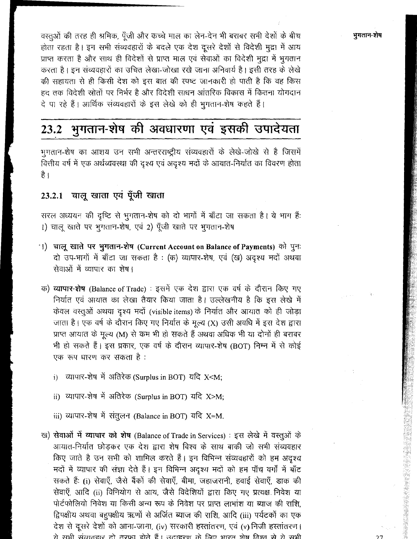भुगतान-शेष

वस्तुओं की तरह ही श्रमिक, पूँजी और कच्चे माल का लेन-देन भी बराबर सभी देशों के बीच होता रहता है। इन सभी संव्यवहारों के बदले एक देश दूसरे देशों से विदेशी मुद्रा में आय प्राप्त करता है और साथ ही विदेशों से प्राप्त माल एवं सेवाओं का विदेशी मुद्रा में भूगतान करता है। इन संव्यवहारों का उचित लेखा-जोखा रखे जाना अनिवार्य है। इसी तरह के लेखे की सहायता से ही किसी देश को इस बात की स्पष्ट जानकारी हो पाती है कि वह किस हद तक विदेशी स्रोतों पर निर्भर है और विदेशी साधन आंतरिक विकास में कितना योगदान दे पा रहे हैं। आर्थिक संव्यवहारों के इस लेखे को ही भुगतान-शेष कहते हैं।

# 23.2 भुगतान-शेष की अवधारणा एवं इसकी उपादेयता

भुगतान-शेष का आशय उन सभी अन्तरराष्ट्रीय संव्यवहारों के लेखे-जोखे से है जिसमें वित्तीय वर्ष में एक अर्थव्यवस्था की दृश्य एवं अदृश्य मदों के आयात-निर्यात का विवरण होता है ।

### 23.2.1 चालू खाता एवं पूँजी खाता

सरल अध्ययन की दृष्टि से भुगतान-शेष को दो भागों में बाँटा जा सकता है। ये भाग हैं: 1) चालू खाते पर भुगतान-शेष, एवं 2) पूँजी खाते पर भुगतान-शेष

- ा) चालू खाते पर भुगतान-शेष (Current Account on Balance of Payments) को पुनः दो उप-भागों में बाँटा जा सकता है : (क) व्यापार-शेष, एवं (ख) अदृश्य मदों अथवा सेवाओं में व्यापार का शेष।
- क) व्यापार-शेष (Balance of Trade) : इसमें एक देश द्वारा एक वर्ष के दौरान किए गए निर्यात एवं आयात का लेखा तैयार किया जाता है। उल्लेखनीय है कि इस लेखे में केवल वस्तुओं अथवा दृश्य मदों (visible items) के निर्यात और आयात को ही जोड़ा जाता है। एक वर्ष के दौरान किए गए निर्यात के मूल्य (X) उसी अवधि में इस देश द्वारा प्राप्त आयात के मूल्य (M) से कम भी हो सकते हैं अथवा अधिक भी या दोनों ही बराबर भी हो सकते हैं। इस प्रकार, एक वर्ष के दौरान व्यापार-शेष (BOT) निम्न में से कोई एक रूप धारण कर सकता है:
	- $\mathbf{H}$ ) व्यापार-शेष में अतिरेक (Surplus in BOT) यदि X<M;
	- ii) व्यापार-शेष में अतिरेक (Surplus in BOT) यदि X>M;

iii) व्यापार-शेष में संतुलन (Balance in BOT) यदि X=M.

ख) सेवाओं में व्यापार को शेष (Balance of Trade in Services) : इस लेखे में वस्तुओं के आयात-निर्यात छोड़कर एक देश द्वारा शेष विश्व के साथ बाकी जो सभी संव्यवहार किए जाते है उन सभी को शामिल करते हैं। इन विभिन्न संव्यवहारों को हम अदृश्य मदों में व्यापार की संज्ञा देते हैं। इन विभिन्न अदृश्य मदों को हम पाँच वर्गों में बाँट सकते हैं: (i) सेवाएँ, जैसे बैंकों की सेवाएँ, बीमा, जहाजरानी, हवाई सेवाएँ, डाक की सेवाएँ, आदि (ii) विनियोग से आय, जैसे विदेशियों द्वारा किए गए प्रत्यक्ष निवेश या पोर्टफोलियो निवेश या किसी अन्य रूप के निवेश पर प्राप्त लाभांश या ब्याज की राशि. द्विपक्षीय अथवा बहुपक्षीय ऋणों से अर्जित ब्याज की राशि, आदि (iii) पर्यटकों का एक देश से दूसरे देशों को आना-जाना, (iv) सरकारी हस्तांतरण, एवं (v) निजी हस्तांतरण। रो सभी संवातहार हो तरफा होते हैं। उताहरण के लिए भारत शेष विश्व से रो सभी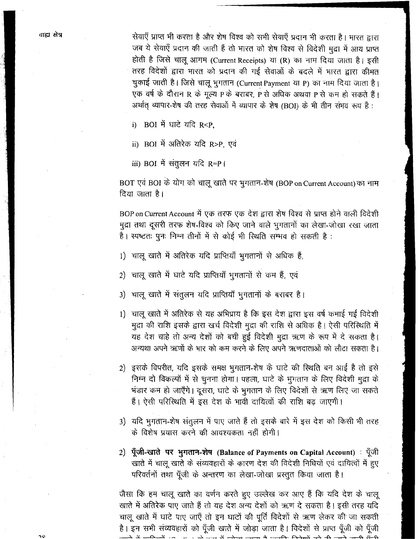सेवाएँ प्राप्त भी करता है और शेष विश्व को सभी सेवाएँ प्रदान भी करता है। भारत द्वारा \*<sup>1</sup>919 और मा करता है और शेष विश्व का समा संवार प्रदान भा करता है। भारत द्वारा<br>जब ये सेवाएँ प्रदान की जाती हैं तो भारत को शेष विश्व से विदेशी मुद्रा में आय प्राप्त<br>होती है जिसे चालू आगम (Current Receipts) या (R) का नाम दि तरह विदेशों द्वारा भारत को प्रदान की गई सेवाओं के बदले में भारत द्वारा कीमत *GV~* **6 I** f3+1 ql~mn **(currentpayment m P)** w Rm w **<sup>6</sup>**<sup>I</sup> एक वर्ष के दौरान R के मूल्य P के बराबर, P से अधिक अथवा P से कम हो सकते हैं। अर्थात व्यापार-शेष की तरह सेवाओं में व्यापार के शेष (BOI) के भी तीन समव रूप हैं:

i) BOI में घाटे यदि R<P.

ii) BOI में अतिरेक यदि R>P. एवं

iii) BOI में संतुलन यदि R=P I

BOT एवं BOI के योग को चालू खाते पर भुगतान-शेष (BOP on Current Account) का नाम दिया जाता है।

BOP on Current Account में एक तरफ एक देश द्वारा शेष विश्व से प्राप्त होने वाली विदेशी मुद्रा तथा दूसरी तरफ शेष-विश्व को किए जाने वाले भुगतानों का लेखा-जोखा रखा जाता है। स्पष्टतः पुनः निम्न तीनों में से कोई भी स्थिति सम्भव हो सकती है :

- 1) चालू खाते में अतिरेक यदि प्राप्तियाँ भूगतानों से अधिक हैं,
- 2) चालू खाते में घाटे यदि प्राप्तियाँ भूगतानों से कम हैं, एवं
- 3) चालू खाते में संतुलन यदि प्राप्तियाँ भुगतानों के बराबर है।
- 1) चालू खाते में अतिरेक से यह अभिप्राय है कि इस देश द्वारा इस वर्ष कमाई गई विदेशी मुद्रा की राशि इसके द्वारा खर्च विदेशी मुद्रा की राशि से अधिक है। ऐसी परिस्थिति में यह देश चाहे तो अन्य देशों को बची हुई विदेशी मुद्रा ऋण के रूप में दे सकता है। अन्यथा अपने ऋणों के भार को कम करने के लिए अपने ऋणदाताओं को लौटा सकता है।
- 2) इसके विपरीत, यदि इसके समक्ष भुगतान-शेष के घाटे की स्थिति बन आई है तो इसे निम्न दो विकल्पों में से चुनना होगा। पहला, घाटे के भुगतान के लिए विदेशी मुद्रा के भंडार कम हो जाएँगे। दूसरा, घाटे के भुगतान के लिए विदेशों से ऋण लिए जा सकते हैं। ऐसी परिस्थिति में इस देश के भावी दायित्वों की राशि बढ जाएगी।
- 3) यदि भुगतान-शेष संतुलन में पाए जाते हैं तो इसके बारे में इस देश को किसी भी तरह के विशेष प्रयास करने की आवश्यकता नहीं होगी।
- 2) पूँजी-खाते पर भुगतान-शेष (Balance of Payments on Capital Account) : पूँजी खाते में चालू खाते के संव्यवहारों के कारण देश की विदेशी निधियों एवं दायित्वों में हुए <u>परिवर्तनों तथा पूँजी के अन्तरण का लेखा-जोखा प्रस्तुत किया जाता है।</u>

जैसा कि हम चालू खाते का वर्णन करते हुए उल्लेख कर आए हैं कि यदि देश के चालू खाते में अतिरेक पाए जाते हैं तो यह देश अन्य देशों को ऋण दे सकता है। इसी तरह यदि चालू खाते में घाटे पाए जाएँ तो इन घाटों की पूर्ति विदेशों से ऋण लेकर की जा सकती है। इन सभी संव्यवहारों को पूँजी खाते में जोड़ा जाता है। विदेशों से प्राप्त पूँजी को पूँजी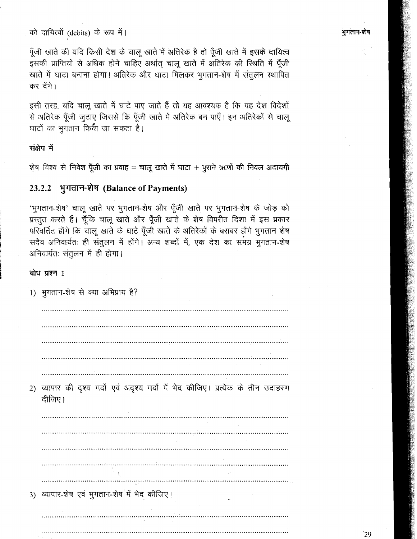को दायित्वों (debits) के रूप में।

पूँजी खाते की यदि किसी देश के चालू खाते में अतिरेक है तो पूँजी खाते में इसके दायित्व इसकी प्राप्तियों से अधिक होने चाहिए अर्थात् चालू खाते में अतिरेक की स्थिति में पूँजी खाते में घाटा बनाना होगा। अतिरेक और घाटा मिलकर भूगतान-शेष में संतूलन स्थापित कर देंगे।

इसी तरह, यदि चालू खाते में घाटे पाए जाते हैं तो यह आवश्यक है कि यह देश विदेशों से अतिरेक पूँजी जुटाए जिससे कि पूँजी खाते में अतिरेक बन पाएँ। इन अतिरेकों से चालू घाटों का भगतान किया जा सकता है।

संक्षेप में

शेष विश्व से निवेश पूँजी का प्रवाह = चालू खाते में घाटा + पुराने ऋणों की निवल अदायगी

#### भूगतान-शेष (Balance of Payments) 23.2.2

'भुगतान-शेष' चालू खाते पर भुगतान-शेष और पूँजी खाते पर भुगतान-शेष के जोड़ को प्रस्तुत करते हैं। चूँकि चालू खाते और पूँजी खाते के शेष विपरीत दिशा में इस प्रकार परिवर्तित होंगे कि चालू खाते के घाटे पूँजी खाते के अतिरेकों के बराबर होंगे भुगतान शेष सदैव अनिवार्यतः ही संतुलन में होंगे। अन्य शब्दों में, एक देश का समग्र भगतान-शेष अनिवार्यतः संतुलन में ही होगा।

#### बोध प्रश्न 1

1) भुगतान-शेष से क्या अभिप्राय है? 2) व्यापार की दृश्य मदों एवं अदृश्य मदों में भेद कीजिए। प्रत्येक के तीन उदाहरण दीजिए। 3) व्यापार-शेष एवं भुगतान-शेष में भेद कीजिए।

`29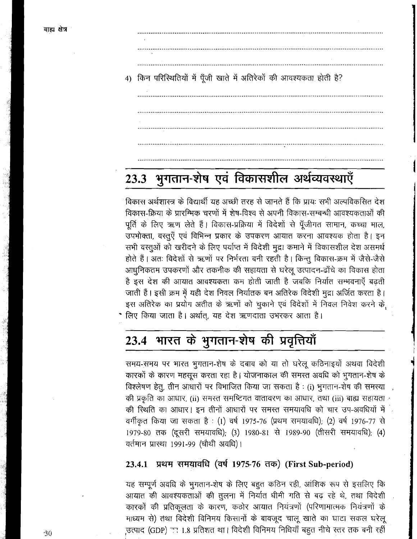- 
- 4) किन परिस्थितियों में पूँजी खाते में अतिरेकों की आवश्यकता होती है?

#### भुगतान-शेष एवं विकासशील अर्थव्यवस्थाएँ 23.3

विकास अर्थशास्त्र के विद्यार्थी यह अच्छी तरह से जानते हैं कि प्रायः सभी अल्पविकसित देश विकास-क्रिया के प्रारम्भिक चरणों में शेष-विश्व से अपनी विकास-सम्बन्धी आवश्यकताओं की पूर्ति के लिए ऋण लेते हैं। विकास-प्रक्रिया में विदेशों से पूँजीगत सामान, कच्चा माल, उपभोक्ता, वस्तुएँ एवं विभिन्न प्रकार के उपकरण आयात करना आवश्यक होता है। इन सभी वस्तूओं को खरीदने के लिए पर्याप्त में विदेशी मुद्रा कमाने में विकासशील देश असमर्थ होते हैं। अतः विदेशों से ऋणों पर निर्भरता बनी रहती है। किन्तू विकास-क्रम में जैसे-जैसे आधुनिकतम उपकरणों और तकनीक की सहायता से घरेलू उत्पादन-ढाँचे का विकास होता है इस देश की आयात आवश्यकता कम होती जाती है जबकि निर्यात सम्भवनाएँ बढ़ती जाती हैं। इसी क्रम में यही देश निवल निर्यातक बन अतिरेक विदेशी मुद्रा अर्जित करता है। इस अतिरेक का प्रयोग अतीत के ऋणों को चुकाने एवं विदेशों में निवल निवेश करने के •े लिए किया जाता है। अर्थात, यह देश ऋणदाता उभरकर आता है।

# 23.4 भारत के भुगतान-शेष की प्रवृत्तियाँ

समय-समय पर भारत भुगतान-शेष के दबाव को या तो घरेलू कठिनाइयों अथवा विदेशी कारकों के कारण महसूस करता रहा है। योजनाकाल की समस्त अवधि को भुगतान-शेष के विश्लेषण हेतु, तीन आधारों पर विभाजित किया जा सकता है : (i) भूगतान-शेष की समस्या की प्रकृति का आधार, (ii) समस्त समष्टिगत वातावरण का आधार, तथा (iii) बाह्य सहायता की स्थिति का आधार। इन तीनों आधारों पर समस्त समयावधि को चार उप-अवधियों में वर्गीकृत किया जा सकता है : (1) वर्ष 1975-76 (प्रथम समयावधि); (2) वर्ष 1976-77 से 1979-80 तक (दूसरी समयावधि); (3) 1980-81 से 1989-90 (तीसरी समयावधि); (4) वर्तमान प्रास्था 1991-99 (चौथी अवधि)।

#### प्रथम समयावधि (वर्ष 1975-76 तक) (First Sub-period) 23.4.1

यह सम्पूर्ण अवधि के भुगतान-शेष के लिए बहुत कठिन रही, आंशिक रूप से इसलिए कि आयात की आवश्यकताओं की तुलना में निर्यात धीमी गति से बढ़ रहे थे, तथा विदेशी कारकों की प्रतिकूलता के कारण, कठोर आयात नियंत्रणों (परिणामात्मक नियंत्रणों के माध्यम से) तथा विदेशी विनिमय किसानों के बावजूद चालू खाते का घाटा सकल घरेलू उत्पाद (GDP) सा 1.8 प्रतिशत था। विदेशी विनिमय निधियाँ बहुत नीचे स्तर तक बनी रहीं

 $-30$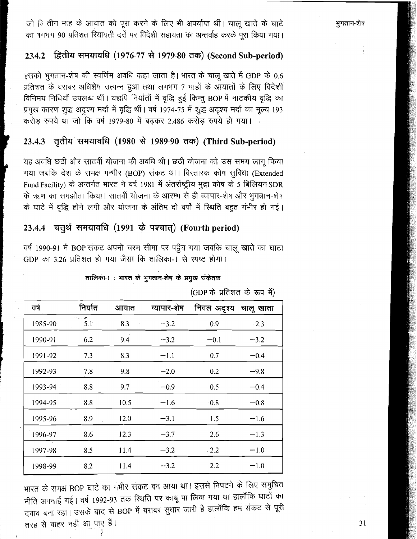भूगतान-शेष

जो वि तीन माह के आयात को पूरा करने के लिए भी अपर्याप्त थीं। चालू खाते के घाटे का नगभग 90 प्रतिशत रियायती दरों पर विदेशी सहायता का अन्तर्वाह करके पूरा किया गया।

### <sup>1</sup>**234.2** f%b **(1976-77** \* **1979-80** *55)* **(Second Sub-period)**

इसको भूगतान-शेष की स्वर्णिम अवधि कहा जाता है। भारत के चालू खाते में GDP के 0.6 प्रतिशत के बराबर अधिशेष उत्पन्न हुआ तथा लगभग 7 माहों के आयातों के लिए विदेशी विनिमय निधियाँ उपलब्ध थीं। यद्यपि निर्यातों में वृद्धि हुई किन्तु BOP में नाटकीय वृद्धि का<br>प्रमुख कारण शुद्ध अदृश्य मदों में वृद्धि थीं। वर्ष 1974-75 में शुद्ध अदृश्य मदों का मूल्य 193<br>करोड़ रुपये था जो कि वर्ष 1979-80 मे

यह अवधि छठी और सातवीं योजना की अवधि थी। छठी योजना को उस समय लागू किया गया जबकि देश के समक्ष गम्भीर (BOP) संकट था। विस्तारक कोष सुविधा (Extended Fund Facility) के अन्तर्गत भारत ने वर्ष 1981 में अंतर्राष्ट्रीय मुद्रा कोष के 5 बिलियन SDR के ऋण का समझौता किया। सातवीं योजना के आरम्भ से ही व्यापार-शेष और भूगतान-शेष के घाटे में वृद्धि होने लगी और योजना के अंतिम दो वर्षों में रिथति बहुत गंभीर हो गई।

### 23.4.4 चतुर्थ समयावधि (1991 के पश्चात्) (Fourth period)

वर्ष 1990-91 में BOP संकट अपनी चरम सीमा पर पहुँच गया जबकि चालू खाते का घाटा GDP का 3.26 प्रतिशत हो गया जैसा कि तालिका-1 से स्पष्ट होगा।

|         |         |      |             |             | $\epsilon$ |
|---------|---------|------|-------------|-------------|------------|
| वर्ष    | निर्यात | आयात | व्यापार-शेष | निवल अदृश्य | चालू खाता  |
| 1985-90 | 5.1     | 8.3  | $-3.2$      | 0.9         | $-2.3$     |
| 1990-91 | 6.2     | 9.4  | $-3.2$      | $-0.1$      | $-3.2$     |
| 1991-92 | 7.3     | 8.3  | $-1.1$      | 0.7         | $-0.4$     |
| 1992-93 | 7.8     | 9.8  | $-2.0$      | 0.2         | $-9.8$     |
| 1993-94 | 8.8     | 9.7  | $-0.9$      | 0.5         | $-0.4$     |
| 1994-95 | 8.8     | 10.5 | $-1.6$      | 0.8         | $-0.8$     |
| 1995-96 | 8.9     | 12.0 | $-3.1$      | 1.5         | $-1.6$     |
| 1996-97 | 8.6     | 12.3 | $-3.7$      | 2.6         | $-1.3$     |
| 1997-98 | 8.5     | 11.4 | $-3.2$      | .2.2        | $-1.0$     |
| 1998-99 | 8.2     | 11.4 | $-3.2$      | 2.2         | $-1.0$     |

तालिका-1: भारत के भुगतान-शेष के प्रमुख संकेतक

(GDP के प्रतिशत के रूप में)

भारत के समक्ष BOP घाटे का गंभीर संकट बन आया था। इससे निपटने के लिए समुचित नारत के रानदा BOT को जाएगा।<br>नीति अपनाई गई। वर्ष 1992-93 तक स्थिति पर काबू पा लिया गया था हालाँकि घाटों का नाति अपनाई नहीं मैं 1992 93 से सारी लगे हैं।<br>दबाव बना रहा। उसके बाद से BOP में बराबर सुधार जारी है हालाँकि हम संकट से पूरी तरह से बाहर नहीं आ पाए हैं।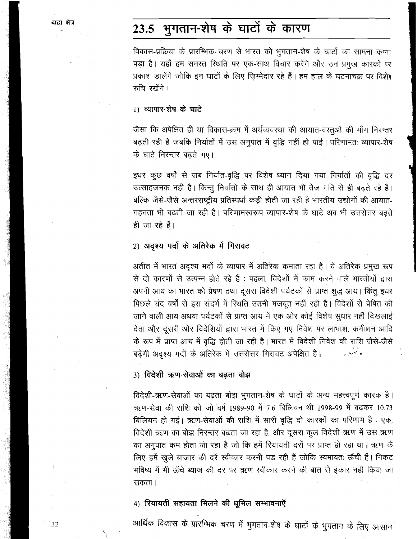#### भुगतान-शेष के घाटों के कारण 23.5

विकास-प्रक्रिया के प्रारम्भिक चरण से भारत को भुगतान-शेष के घाटों का सामना कन्ना पड़ा है। यहाँ हम समस्त स्थिति पर एक-साथ विचार करेंगे और उन प्रमुख कारकों प्र प्रकाश डालेंगे जोकि इन घाटों के लिए जिम्मेदार रहे हैं। हम हाल के घटनाचक्र पर विशेष रुचि रखेंगे।

#### 1) व्यापार-शेष के घाटे

जैसा कि अपेक्षित ही था विकास-क्रम में अर्थव्यवस्था की आयात-वस्तूओं की माँग निरन्तर बढ़ती रही है जबकि निर्यातों में उस अनुपात में वृद्धि नहीं हो पाई। परिणामतः व्यापार-शेष के घाटे निरन्तर बढ़ते गए।

इधर कुछ वर्षों से जब निर्यात-वृद्धि पर विशेष ध्यान दिया गया निर्यातों की वृद्धि दर उत्साहजनक नहीं है। किन्तु निर्यातों के साथ ही आयात भी तेज गति से ही बढ़ते रहे हैं। बल्कि जैसे-जैसे अन्तरराष्ट्रीय प्रतिस्पर्धा कड़ी होती जा रही है भारतीय उद्योगों की आयात-गहनता भी बढ़ती जा रही है। परिणामस्वरूप व्यापार-शेष के घाटे अब भी उत्तरोत्तर बढ़ते ही जा रहे हैं।

#### 2) अदृश्य मदों के अतिरेक में गिरावट

अतीत में भारत अदृश्य मदों के व्यापार में अतिरेक कमाता रहा है। ये अतिरेक प्रमुख रूप से दो कारणों से उत्पन्न होते रहे हैं : पहला, विदेशों में काम करने वाले भारतीयों द्वारा अपनी आय का भारत को प्रेषण तथा दूसरा विदेशी पर्यटकों से प्राप्त शुद्ध आय। किंतु इधर पिछले चंद वर्षों से इस संदर्भ में स्थिति उतनी मजबूत नहीं रही है। विदेशों से प्रेषित की जाने वाली आय अथवा पर्यटकों से प्राप्त आय में एक ओर कोई विशेष सुधार नहीं दिखलाई देता और दूसरी ओर विदेशियों द्वारा भारत में किए गए निवेश पर लाभांश, कमीशन आदि के रूप में प्राप्त आय में वृद्धि होती जा रही है। भारत में विदेशी निवेश की राशि जैसे-जैसे बढ़ेगी अदृश्य मदों के अतिरेक में उत्तरोत्तर गिरावट अपेक्षित है। وتبنيد

#### 3) विदेशी ऋण-सेवाओं का बढता बोझ

विदेशी-ऋण-सेवाओं का बढ़ता बोझ भुगतान-शेष के घाटों के अन्य महत्त्वपूर्ण कारक है। ऋण-सेवा की राशि को जो वर्ष 1989-90 में 7.6 बिलियन थी 1998-99 में बढ़कर 10.73 बिलियन हो गई। ऋण-सेवाओं की राशि में सारी वृद्धि दो कारकों का परिणाम है: एक, विदेशी ऋण का बोझ निरन्तर बढ़ता जा रहा है, और दूसरा कुल विदेशी ऋण में उस ऋण का अनुपात कम होता जा रहा है जो कि हमें रियायती दरों पर प्राप्त हो रहा था। ऋण के लिए हमें खुले बाज़ार की दरें स्वीकार करनी पड़ रही हैं जोकि स्वभावतः ऊँची हैं। निकट भविष्य में भी ऊँचे ब्याज की दर पर ऋण स्वीकार करने की बात से इंकार नहीं किया जा सकता ।

#### 4) रियायती सहायता मिलने की धूमिल सम्भावनाएँ

आर्थिक विकास के प्रारम्भिक चरण में भुगतान-शेष के घाटों के भुगतान के लिए आसांन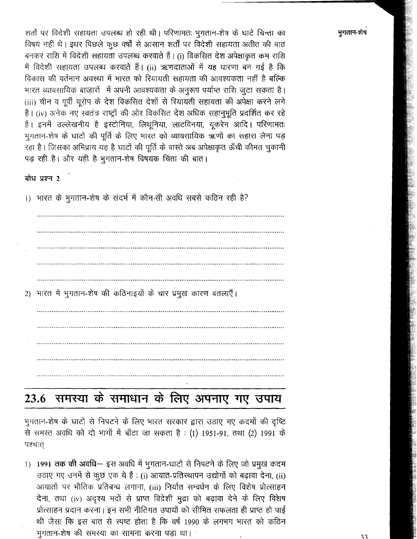शर्तों पर विदेशी सहायता उपलब्ध हो रही थी। परिणामतः भूगतान-शेष के घाटे चिन्ता का विषय नहीं थे। इधर पिछले कुछ वर्षों से आसान शर्तों पर विदेशी सहायता अतीत की बात बनकर राशि में विदेशी सहायता उपलब्ध करवाते हैं। (i) विकसित देश अपेक्षाकृत कम राशि में विदेशी सहायता उपलब्ध करवाते हैं। (ii) ऋणदाताओं में यह धारणा बन गई है कि विकास की वर्तमान अवस्था में भारत को रियायती सहायता की आवश्यकता नहीं है बल्कि भारत व्यावसायिक बाजारों में अपनी आवश्यकता के अनुरूप पर्याप्त राशि जुटा सकता है। (iii) चीन व पूर्वी यूरोप के देश विकसित देशों से रियायती सहायता की अपेक्षा करने लगे हैं। (iv) अनेक नए स्वतंत्र राष्ट्रों की ओर विकसित देश अधिक सहानुभूति प्रदर्शित कर रहे हैं। इनमें उल्लेखनीय है इस्टोनिया, लिथूनिया, लाटविनया, यूकरेन आदि। परिणामतः भुगतान-शेष के घाटों की पूर्ति के लिए भारत को व्यावसायिक ऋणों का सहारा लेना पड़ रहा है। जिसका अभिप्राय यह है घाटों की पूर्ति के वास्ते अब अपेक्षाकृत ऊँची कीमत चुकानी पड़ रही है। और यही है भूगतान-शेष विषयक चिंता की बात।

बोध प्रश्न 2

1) भारत के भुगतान-शेष के संदर्भ में कौन-सी अवधि सबसे कठिन रही है?

2) भारत में भुगतान-शेष की कठिनाइयों के चार प्रमुख कारण बतलाएँ।

# 23.6 समस्या के समाधान के लिए अपनाए गए उपाय

भुगतान-शेष के घाटों से निपटने के लिए भारत सरकार द्वारा उठाए गए कदमों की दृष्टि से समस्त अवधि को दो भागों में बाँटा जा सकता है : (1) 1951-91, तथा (2) 1991 के पश्चात्

1) 1991 तक की अवधि- इस अवधि में भुगतान-घाटों से निपटने के लिए जो प्रमुख कदम उठाए गए उनमें से कूछ एक ये हैं : (i) आयात-प्रतिस्थापन उद्योगों को बढ़ावा देना, (ii) आयातों पर भौतिक प्रतिबन्ध लगाना, (iii) निर्यात सम्वर्धन के लिए विशेष प्रोत्साहन देना, तथा (iv) अदृश्य मदों से प्राप्त विदेशी मुद्रा को बढ़ावा देने के लिए विशेष प्रोत्साहन प्रदान करना। इन सभी नीतिगत उपायों को सीमित सफलता ही प्राप्त हो पाई थी जैसा कि इस बात से स्पष्ट होता है कि वर्ष 1990 के लगभग भारत को कठिन भगतान-शेष की समस्या का सामना करना पड़ा था।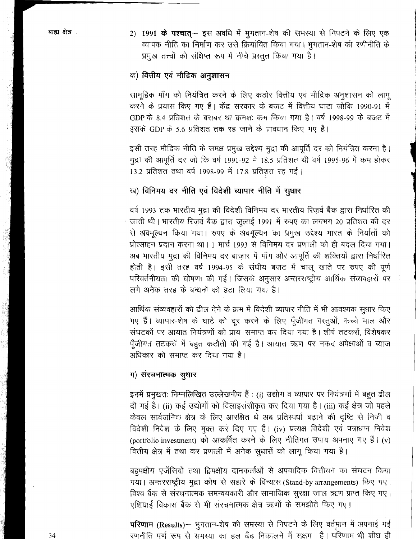2) 1991 के पश्चात्- इस अवधि में भुगतान-शेष की समस्या से निपटने के लिए एक व्यापक नीति का निर्माण कर उसे क्रियांवित किया गया। भूगतान-शेष की रणीनीति के प्रमुख तत्त्वों को संक्षिप्त रूप में नीचे प्रस्तुत किया गया है।

#### क) वित्तीय एवं मौद्रिक अनुशासन

सामूहिक माँग को नियंत्रित करने के लिए कठोर वित्तीय एवं मौद्रिक अनुशासन को लागू करने के प्रयास किए गए हैं। केंद्र सरकार के बजट में वित्तीय घाटा जोकि 1990-91 में GDP के 8.4 प्रतिशत के बराबर था क्रमशः कम किया गया है। वर्ष 1998-99 के बजट में इसके GDP के 5.6 प्रतिशत तक रह जाने के प्रावधान किए गए हैं।

इसी तरह मौद्रिक नीति के समक्ष प्रमुख उद्देश्य मुद्रा की आपूर्ति दर को नियंत्रित करना है। मुद्रा की आपूर्ति दर जो कि वर्ष 1991-92 में 18.5 प्रतिशत थी वर्ष 1995-96 में कम होकर 13.2 प्रतिशत तथा वर्ष 1998-99 में 17.8 प्रतिशत रह गई।

#### ख) विनिमय दर नीति एवं विदेशी व्यापार नीति में सुधार

वर्ष 1993 तक भारतीय मुद्रा की विदेशी विनिमय दर भारतीय रिज़र्व बैंक द्वारा निर्धारित की जाती थी। भारतीय रिज़र्व बैंक द्वारा जुलाई 1991 में रुपए का लगभग 20 प्रतिशत की दर से अवमुल्यन किया गया। रुपए के अवमुल्यन का प्रमुख उद्देश्य भारत के निर्यातों को प्रोत्साहन प्रदान करना था। 1 मार्च 1993 से विनिमय दर प्रणाली को ही बदल दिया गया। अब भारतीय मुद्रा की विनिमय दर बाज़ार में माँग और आपूर्ति की शक्तियों द्वारा निर्धारित होती है। इसी तरह वर्ष 1994-95 के संघीय बजट में चालू खाते पर रुपए की पूर्ण परिवर्तनीयता की घोषणा की गई। जिसके अनुसार अन्तरराष्ट्रीय आर्थिक संव्यवहारों पर लगे अनेक तरह के बन्धनों को हटा लिया गया है।

आर्थिक संव्यवहारों को ढील देने के क्रम में विदेशी व्यापार नीति में भी आवश्यक सुधार किए गए हैं। व्यापार-शेष के घाटे को दूर करने के लिए पूँजीगत वस्तुओं, कच्चे माल और संघटकों पर आयात नियंत्रणों को प्रायः समाप्त कर दिया गया है। शीर्ष तटकरों, विशेषकर पूँजीगत तटकरों में बहुत कटौती की गई है। आयात ऋण पर नकद अपेक्षाओं व ब्याज अधिकार को समाप्त कर दिया गया है।

#### ग) संरचनात्मक सुधार

इनमें प्रमुखतः निम्नलिखित उल्लेखनीय हैं : (i) उद्योग व व्यापार पर नियंत्रणों में बहुत ढील दी गई है। (ii) कई उद्योगों को विलाइसंसीकृत कर दिया गया है। (iii) कई क्षेत्र जो पहले केवल सार्वजनिक क्षेत्र के लिए आरक्षित थे अब प्रतिस्पर्धा बढ़ाने की दृष्टि से निजी व विदेशी निवेश के लिए मुक्त कर दिए गए हैं। (iv) प्रत्यक्ष विदेशी एवं पत्राधान निवेश (portfolio investment) को आकर्षित करने के लिए नीतिगत उपाय अपनाए गए हैं। (v) वित्तीय क्षेत्र में तथा कर प्रणाली में अनेक सूधारों को लागू किया गया है।

बहुपक्षीय एजेंसियों तथा द्विपक्षीय दानकर्ताओं से अपवादिक वित्तीयन का संघटन किया गया। अन्तरराष्ट्रीय मुद्रा कोष से सहारे के विन्यास (Stand-by arrangements) किए गए। विश्व बैंक से संरचनात्मक समन्वयकारी और सामाजिक सुरक्षा जाल ऋण प्राप्त किए गए। एशियाई विकास बैंक से भी संरचनात्मक क्षेत्र ऋणों के समझौते किए गए।

परिणाम (Results)- भुगतान-शेष की समस्या से निपटने के लिए वर्तमान में अपनाई गई रणनीति पूर्ण रूप से समस्या का हल ढूँढ निकालने में सक्षम हैं। परिणाम भी शीघ्र ही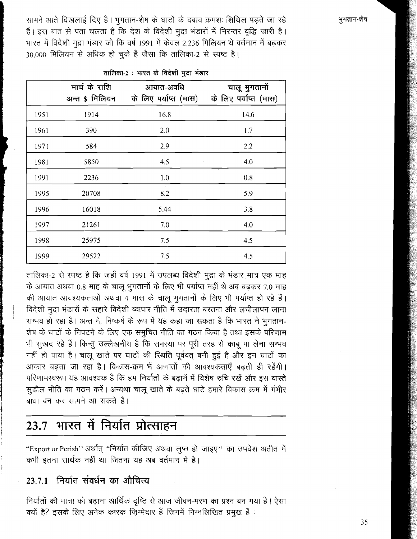सामने आते दिखलाई दिए हैं। भूगतान-शेष के घाटों के दबाव क्रमशः शिथिल पड़ते जा रहे हैं। इस बात से पता चलता है कि देश के विदेशी मुद्रा भंडारों में निरन्तर वृद्धि जारी है। भारत में विदेशी मुद्रा भंडार जो कि वर्ष 1991 में केवल 2,236 मिलियन थे वर्तमान में बढ़कर 30,000 मिलियन से अधिक हो चुके हैं जैसा कि तालिका-2 से स्पष्ट है।

|      | मार्च के राशि<br>अन्त \$ मिलियन | आयात-अवधि<br>के लिए पर्याप्त (मास) | चालू भुगतानों<br>के लिए पर्याप्त (मास) |
|------|---------------------------------|------------------------------------|----------------------------------------|
| 1951 | 1914                            | 16.8                               | 14.6                                   |
| 1961 | 390                             | 2.0                                | 1.7                                    |
| 1971 | 584                             | 2.9                                | 2.2                                    |
| 1981 | 5850                            | 4.5<br>$\cdot$                     | 4.0                                    |
| 1991 | 2236                            | 1.0                                | 0.8                                    |
| 1995 | 20708                           | 8.2                                | 5.9                                    |
| 1996 | 16018                           | 5.44                               | 3.8                                    |
| 1997 | 21261                           | 7.0                                | 4.0                                    |
| 1998 | 25975                           | 7.5                                | 4.5                                    |
| 1999 | 29522                           | 7.5                                | 4.5                                    |

तालिका-2: भारत के विदेशी मुद्रा भंडार

तालिका-2 से स्पष्ट है कि जहाँ वर्ष 1991 में उपलब्ध विदेशी मुद्रा के भंडार मात्र एक माह के आयात अथवा 0.8 माह के चालू भुगतानों के लिए भी पर्याप्त नहीं थे अब बढ़कर 7.0 माह की आयात आवश्यकताओं अथवा 4 मास के चालू भुगतानों के लिए भी पर्याप्त हो रहे हैं। विदेशी मुद्रा भंडारों के सहारे विदेशी व्यापार नीति में उदारता बरतना और लचीलापन लाना सम्भव हो रहा है। अन्त में, निष्कर्ष के रूप में यह कहा जा सकता है कि भारत ने भगतान-शेष के घाटों के निपटने के लिए एक समुचित नीति का गठन किया है तथा इसके परिणाम भी सुखद रहे हैं। किन्तु उल्लेखनीय है कि समस्या पर पूरी तरह से काबू पा लेना सम्भव नहीं हो पाया है। चालू खाते पर घाटों की रिथति पूर्ववत् बनी हुई है और इन घाटों का आकार बढ़ता जा रहा है। विकास-क्रम भें आयातों की आवश्यकताएँ बढ़ती ही रहेंगी। परिणामरवरूप यह आवश्यक है कि हम निर्यातों के बढानें में विशेष रुचि रखें और इस वास्ते सूडौल नीति का गठन करें। अन्यथा चालू खाते के बढते घाटे हमारे विकास क्रम में गंभीर बाधा बन कर सामने आ सकते हैं।

#### भारत में निर्यात प्रोत्साहन 23.7

"Export or Perish" अर्थात् "निर्यात कीजिए अथवा लूप्त हो जाइए" का उपदेश अतीत में कभी इतना सार्थक नहीं था जितना यह अब वर्तमान में है।

#### निर्यात संवर्धन का औचित्य 23.7.1

निर्यातों की मात्रा को बढ़ाना आर्थिक दृष्टि से आज जीवन-मरण का प्रश्न बन गया है। ऐसा क्यों है? इसके लिए अनेक कारक ज़िम्मेदार हैं जिनमें निम्नलिखित प्रमुख हैं :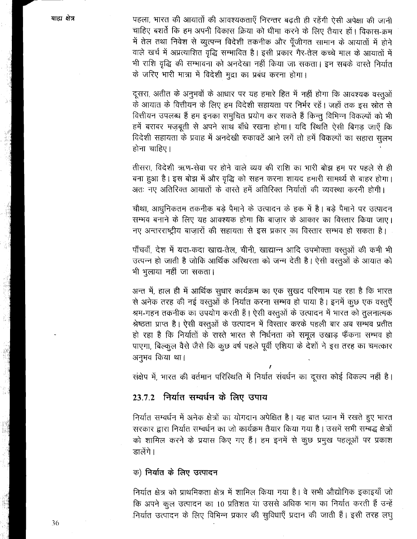पहला, भारत की आयातों की आवश्यकताएँ निरन्तर बढ़ती ही रहेंगी ऐसी अपेक्षा की जानी चाहिए बशर्ते कि हम अपनी विकास क्रिया को धीमा करने के लिए तैयार हों। विकास-क्रम में तेल तथा निवेश से व्युत्पन्न विदेशी तकनीक और पूँजीगत सामान के आयातों में होने वाले खर्च में अप्रत्याशित वृद्धि सम्भावित है। इसी प्रकार गैर-तेल कच्चे माल के आयातों में भी राशि वृद्धि की सम्भावना को अनदेखा नहीं किया जा सकता। इन सबके वास्ते निर्यात के जरिए भारी मात्रा में विदेशी मुद्रा का प्रबंध करना होगा।

दूसरा, अतीत के अनुभवों के आधार पर यह हमारे हित में नहीं होगा कि आवश्यक वस्तुओं के आयात के वित्तीयन के लिए हम विदेशी सहायता पर निर्भर रहें। जहाँ तक इस स्रोत से वित्तीयन उपलब्ध हैं हम इनका समुचित प्रयोग कर सकते हैं किन्तु विभिन्न विकल्पों को भी हमें बराबर मज़बूती से अपने साथ बाँधे रखना होगा। यदि स्थिति ऐसी बिगड़ जाएँ कि विदेशी सहायता के प्रवाह में अनदेखी रुकावटें आने लगें तो हमें विकल्पों का सहारा सुलभ होना चाहिए।

तीसरा, विदेशी ऋण-सेवा पर होने वाले व्यय की राशि का भारी बोझ हम पर पहले से ही बना हुआ है। इस बोझ में और वृद्धि को सहन करना शायद हमारी सामर्थ्य से बाहर होगा। अतः नए अतिरिक्त आयातों के वास्ते हमें अतिरिक्त निर्यातों की व्यवस्था करनी होगी।

चौथा, आधुनिकतम तकनीक बड़े पैमाने के उत्पादन के हक में है। बड़े पैमाने पर उत्पादन सम्भव बनाने के लिए यह आवश्यक होगा कि बाज़ार के आकार का विस्तार किया जाए। नए अन्तरराष्ट्रीय बाज़ारों की सहायता से इस प्रकार का विस्तार सम्भव हो सकता है।

पाँचवाँ, देश में यदा-कदा खाद्य-तेल, चीनी, खाद्यान्न आदि उपभोक्ता वस्तुओं की कमी भी उत्पन्न हो जाती है जोकि आर्थिक अस्थिरता को जन्म देती है। ऐसी वस्तुओं के आयात को भी भुलाया नहीं जा सकता।

अन्त में, हाल ही में आर्थिक सुधार कार्यक्रम का एक सुखद परिणाम यह रहा है कि भारत से अनेक तरह की नई वस्तुओं के निर्यात करना सम्भव हो पाया है। इनमें कुछ एक वस्तुएँ श्रम-गहन तकनीक का उपयोग करती हैं। ऐसी वस्तुओं के उत्पादन में भारत को तुलनात्मक श्रेष्ठता प्राप्त है। ऐसी वस्तुओं के उत्पादन में विस्तार करके पहली बार अब सम्भव प्रतीत हो रहा है कि निर्यातों के रास्ते भारत से निर्धनता को समूल उखाड़ फैंकना सम्भव हो पाएगा, बिल्कुल वैसे जैसे कि कुछ वर्ष पहले पूर्वी एशिया के देशों ने इस तरह का चमत्कार अनुभव किया था।

संक्षेप में, भारत की वर्तमान परिस्थिति में निर्यात संवर्धन का दूसरा कोई विकल्प नहीं है।

#### ानिर्यात सम्वर्धन के लिए उपाय  $23.7.2$

निर्यात सम्वर्धन में अनेक क्षेत्रों का योगदान अपेक्षित है। यह बात ध्यान में रखते हुए भारत सरकार द्वारा निर्यात सम्वर्धन का जो कार्यक्रम तैयार किया गया है। उसमें सभी सम्बद्ध क्षेत्रों को शामिल करने के प्रयास किए गए हैं। हम इनमें से कुछ प्रमुख पहलूओं पर प्रकाश डालेंगे।

#### क) निर्यात के लिए उत्पादन

निर्यात क्षेत्र को प्राथमिकता क्षेत्र में शामिल किया गया है। वे सभी औद्योगिक इकाइयाँ जो कि अपने कुल उत्पादन का 10 प्रतिशत या उससे अधिक भाग का निर्यात करती हैं उन्हें निर्यात उत्पादन के लिए विभिन्न प्रकार की सुविधाएँ प्रदान की जाती हैं। इसी तरह लघु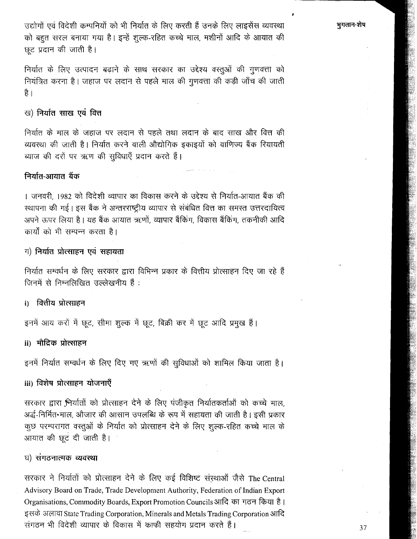उद्योगों एवं विदेशी कम्पनियों को भी निर्यात के लिए करती हैं उनके लिए लाइसेंस व्यवस्था को बहुत सरल बनाया गया है। इन्हें शुल्क-रहित कच्चे माल, मशीनों आदि के आयात की छट प्रदान की जाती है।

निर्यात के लिए उत्पादन बढ़ाने के साथ सरकार का उद्देश्य वस्तुओं की गुणवत्ता को नियंत्रित करना है। जहाज पर लदान से पहले माल की गुणवत्ता की कड़ी जाँच की जाती है ।

### ख) निर्यात साख एवं वित्त

निर्यात के माल के जहाज पर लदान से पहले तथा लदान के बाद साख और वित्त की व्यवस्था की जाती है। निर्यात करने वाली औद्योगिक इकाइयों को वाणिज्य बैंक रियायती ब्याज की दरों पर ऋण की सुविधाएँ प्रदान करते हैं।

#### निर्यात-आयात बैंक

। जनवरी, 1982 को विदेशी व्यापार का विकास करने के उद्देश्य से निर्यात-आयात बैंक की स्थापना की गई। इस बैंक ने अन्तरराष्ट्रीय व्यापार से संबंधित वित्त का समस्त उत्तरदायित्व अपने ऊपर लिया है। यह बैंक आयात ऋणों, व्यापार बैंकिंग, विकास बैंकिंग, तकनीकी आदि कार्यों को भी सम्पन्न करता है।

#### ग) निर्यात प्रोत्साहन एवं सहायता

निर्यात सम्वर्धन के लिए सरकार द्वारा विभिन्न प्रकार के वित्तीय प्रोत्साहन दिए जा रहे हैं जिनमें से निम्नलिखित उल्लेखनीय हैं :

#### वित्तीय प्रोत्साहन i)

इनमें आय करों में छूट, सीमा शुल्क में छूट, बिक्री कर में छूट आदि प्रमुख हैं।

#### ii) मौदिक प्रोत्साहन

इनमें निर्यात सम्वर्धन के लिए दिए गए ऋणों की सुविधाओं को शामिल किया जाता है।

#### iii) विशेष प्रोत्साहन योजनाएँ

सरकार द्वारा भिर्यातों को प्रोत्साहन देने के लिए पंजीकृत निर्यातकर्ताओं को कच्चे माल, अर्द्ध-निर्मित•माल, औजार की आसान उपलब्धि के रूप में सहायता की जाती है। इसी प्रकार कुछ परम्परागत वस्तुओं के निर्यात को प्रोत्साहन देने के लिए शुल्क-रहित कच्चे माल के आयात की छूट दी जाती है।

#### घ) संगठनात्मक व्यवस्था

सरकार ने निर्यातों को प्रोत्साहन देने के लिए कई विशिष्ट संख्याओं जैसे The Central Advisory Board on Trade, Trade Development Authority, Federation of Indian Export Organisations, Commodity Boards, Export Promotion Councils आदि का गठन किया है। इसके अलावा State Trading Corporation, Minerals and Metals Trading Corporation आदि संगठन भी विदेशी व्यापार के विकास में काफी सहयोग प्रदान करते हैं।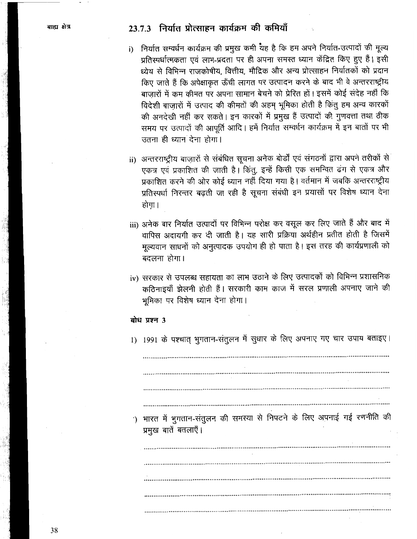### 23.7.3 निर्यात प्रोत्साहन कार्यक्रम की कमियाँ

- i) निर्यात सम्वर्धन कार्यक्रम की प्रमुख कमी यह है कि हम अपने निर्यात-उत्पादों की मूल्य प्रतिस्पर्धात्मकता एवं लाभ-प्रदता पर ही अपना समस्त ध्यान केंद्रित किए हुए हैं। इसी ध्येय से विभिन्न राजकोषीय, वित्तीय, मौद्रिक और अन्य प्रोत्साहन निर्यातकों को प्रदान किए जाते हैं कि अपेक्षाकृत ऊँची लागत पर उत्पादन करने के बाद भी वे अन्तरराष्ट्रीय बाज़ारों में कम कीमत पर अपना सामान बेचने को प्रेरित हों। इसमें कोई संदेह नहीं कि विदेशी बाज़ारों में उत्पाद की कीमतों की अहम् भूमिका होती है किंतु हम अन्य कारकों की अनदेखी नहीं कर सकते। इन कारकों में प्रमुख हैं उत्पादों की गुणवत्ता तथा ठीक समय पर उत्पादों की आपूर्ति आदि। हमें निर्यात सम्वर्धन कार्यक्रम में इन बातों पर भी उतना ही ध्यान देना होगा।
- ii) अन्तरराष्ट्रीय बाज़ारों से संबंधित सूचना अनेक बोर्डों एवं संगठनों द्वारा अपने तरीकों से एकत्र एवं प्रकाशित की जाती है। किंतू, इन्हें किसी एक समन्वित ढंग से एकत्र और प्रकाशित करने की ओर कोई ध्यान नहीं दिया गया है। वर्तमान में जबकि अन्तरराष्ट्रीय प्रतिस्पर्धा निरन्तर बढती जा रही है सूचना संबंधी इन प्रयासों पर विशेष ध्यान देना होगा।
- iii) अनेक बार निर्यात उत्पादों पर विभिन्न परोक्ष कर वसूल कर लिए जाते हैं और बाद में वापिस अदायगी कर दी जाती है। यह सारी प्रक्रिया अर्थहीन प्रतीत होती है जिसमें मुल्यवान साधनों को अनुत्पादक उपयोग ही हो पाता है। इस तरह की कार्यप्रणाली को बदलना होगा।
- iv) सरकार से उपलब्ध सहायता का लाभ उठाने के लिए उत्पादकों को विभिन्न प्रशासनिक कठिनाइयाँ झेलनी होती हैं। सरकारी काम काज में सरल प्रणाली अपनाए जाने की भूमिका पर विशेष ध्यान देना होगा।

#### बोध प्रश्न 3

1) 1991 के पश्चात् भुगतान-संतुलन में सुधार के लिए अपनाए गए चार उपाय बताइए।

') भारत में भुगतान-संतुलन की समस्या से निपटने के लिए अपनाई गई रणनीति की प्रमुख बातें बतलाएँ।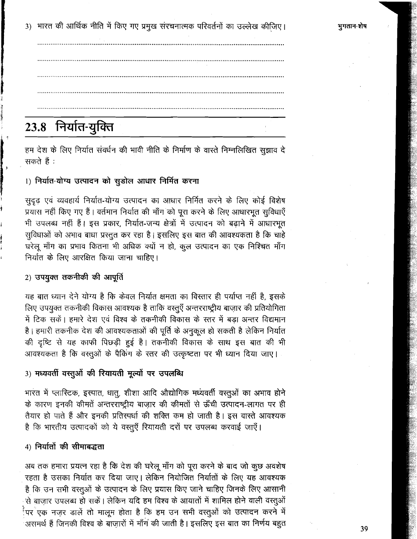3) भारत की आर्थिक नीति में किए गए प्रमुख संरचनात्मक परिवर्तनों का उल्लेख कीजिए।

## 23.8 निर्यात-युक्ति

हम देश के लिए निर्यात संवर्धन की भावी नीति के निर्माण के वास्ते निम्नलिखित सुझाव दे सकते हैं :

### 1) निर्यात-योग्य उत्पादन को सुडोल आधार निर्मित करना

सुदृढ़ एवं व्यवहार्य निर्यात-योग्य उत्पादन का आधार निर्मित करने के लिए कोई विशेष प्रयास नहीं किए गए हैं। वर्तमान निर्यात की माँग को पूरा करने के लिए आधारभूत सुविधाएँ भी उपलब्ध नहीं हैं। इस प्रकार, निर्यात-जन्य क्षेत्रों में उत्पादन को बढ़ाने में आधारभूत सुविधाओं को अभाव बाधा प्रस्तुत कर रहा है। इसलिए इस बात की आवश्यकता है कि चाहे घरेलू माँग का प्रभाव कितना भी अधिक क्यों न हो, कुल उत्पादन का एक निश्चित माँग निर्यात के लिए आरक्षित किया जाना चाहिए।

### 2) उपयुक्त तकनीकी की आपूर्ति

यह बात ध्यान देने योग्य है कि केवल निर्यात क्षमता का विस्तार ही पर्याप्त नहीं है, इसके लिए उपयुक्त तकनीकी विकास आवश्यक है ताकि वस्तूएँ अन्तरराष्ट्रीय बाज़ार की प्रतियोगिता में टिक सकें। हमारे देश एवं विश्व के तकनीकी विकास के स्तर में बड़ा अन्तर विद्यमान है। हमारी तकनीक देश की आवश्यकताओं की पूर्ति के अनुकूल हो सकती है लेकिन निर्यात की दृष्टि से यह काफी पिछडी हुई है। तकनीकी विकास के साथ इस बात की भी आवश्यकता है कि वस्तुओं के पैकिंग के स्तर की उत्कृष्टता पर भी ध्यान दिया जाए।

#### 3) मध्यवर्ती वस्तूओं की रियायती मूल्यों पर उपलब्धि

भारत में प्लास्टिक, इस्पात, धातु, शीशा आदि औद्योगिक मध्यवर्ती वस्तूओं का अभाव होने के कारण इनकी कीमतें अन्तरराष्ट्रीय बाज़ार की कीमतों से ऊँची उत्पादन-लागत पर ही तैयार हो पाते हैं और इनकी प्रतिरपर्धा की शक्ति कम हो जाती है। इस वास्ते आवश्यक है कि भारतीय उत्पादकों को ये वस्तूएँ रियायती दरों पर उपलब्ध करवाई जाएँ।

#### 4) निर्यातों की सीमाबद्धता

अब तक हमारा प्रयत्न रहा है कि देश की घरेलू माँग को पूरा करने के बाद जो कुछ अवशेष रहता है उसका निर्यात कर दिया जाए। लेकिन नियोजित निर्यातों के लिए यह आवश्यक है कि उन सभी वस्तुओं के उत्पादन के लिए प्रयास किए जाने चाहिए जिनके लिए आसानी से बाज़ार उपलब्ध हो सकें। लेकिन यदि हम विश्व के आयातों में शामिल होने वाली वस्तुओं <sup>र्</sup>पर<sup>ं</sup>एक नज़र डालें तो मालूम होता है कि हम उन सभी वरतुओं को उत्पादन करने में .<br>असमर्थ हैं जिनकी विश्व के बाजारों में माँग की जाती है। इसलिए इस बात का निर्णय बहुत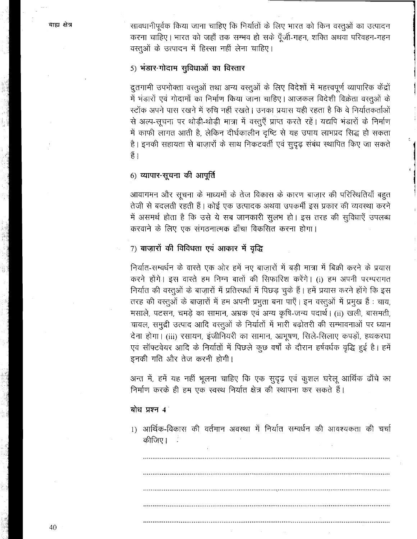सावधानीपूर्वक किया जाना चाहिए कि निर्यातों के लिए भारत को किन वस्तुओं का उत्पादन करना चाहिए। भारत को जहाँ तक सम्भव हो सके पूँजी-गहन, शक्ति अथवा परिवहन-गहन वस्तुओं के उत्पादन में हिस्सा नहीं लेना चाहिए।

### 5) भंडार-गोदाम सुविधाओं का विस्तार

दुतगामी उपभोक्ता वस्तुओं तथा अन्य वस्तुओं के लिए विदेशों में महत्त्वपूर्ण व्यापारिक केंद्रों में भंडारों एवं गोदामों का निर्माण किया जाना चाहिए। आजकल विदेशी विक्रेता वस्तओं के स्टॉक अपने पास रखने में रुचि नहीं रखते। उनका प्रयास यही रहता है कि वे निर्यातकर्ताओं से अल्प-सूचना पर थोड़ी-थोड़ी मात्रा में वस्तुएँ प्राप्त करते रहें। यद्यपि भंडारों के निर्माण में काफी लागत आती है, लेकिन दीर्घकालीन दृष्टि से यह उपाय लाभप्रद सिद्ध हो सकता है। इनकी सहायता से बाजारों के साथ निकटवर्ती एवं सुदृढ़ संबंध स्थापित किए जा सकते  $\frac{8}{5}$ ।

#### 6) व्यापार-सूचना की आपूर्ति

आवागमन और सूचना के माध्यमों के तेज विकास के कारण बाज़ार की परिस्थितियाँ बहुत तेजी से बदलती रहती हैं। कोई एक उत्पादक अथवा उपकर्मी इस प्रकार की व्यवस्था करने में असमर्थ होता है कि उसे ये सब जानकारी सूलभ हो। इस तरह की सुविधाएँ उपलब्ध करवाने के लिए एक संगठनात्मक ढाँचा विकसित करना होगा।

### 7) बाज़ारों की विविधता एवं आकार में वृद्धि

निर्यात-सम्वर्धन के वास्ते एक ओर हमें नए बाजारों में बड़ी मात्रा में बिक्री करने के प्रयास करने होंगे। इस वास्ते हम निम्न बातों की सिफारिश करेंगे। (i) हम अपनी परम्परागत निर्यात की वस्तुओं के बाज़ारों में प्रतिस्पर्धा में पिछड़ चुके हैं। हमें प्रयास करने होंगे कि इस तरह की वस्तूओं के बाज़ारों में हम अपनी प्रभुता बना पाएँ। इन वस्तूओं में प्रमुख हैं : चाय, मसाले, पटसन, चमड़े का सामान, अभ्रक एवं अन्य कृषि-जन्य पदार्थ। (ii) खली, बासमती, चावल, समुद्री उत्पाद आदि वस्तुओं के निर्यातों में भारी बढ़ोतरी की सम्भावनाओं पर ध्यान देना होगा। (iii) रसायन, इंजीनियरी का सामान, आभूषण, सिले-सिलाए कपड़ों, हथकरघा एवं सॉफ्टवेयर आदि के निर्यातों में पिछले कुछ वर्षों के दौरान हर्षवर्धक वृद्धि हुई है। हमें इनकी गति और तेज करनी होगी।

अन्त में, हमें यह नहीं भूलना चाहिए कि एक सुदृढ़ एवं कुशल घरेलू आर्थिक ढाँचे का निर्माण करके ही हम एक स्वस्थ निर्यात क्षेत्र की स्थापना कर सकते हैं।

#### बोध प्रश्न 4

1) आर्थिक-विकास की वर्तमान अवस्था में निर्यात सम्वर्धन की आवश्यकता की चर्चा कीजिए।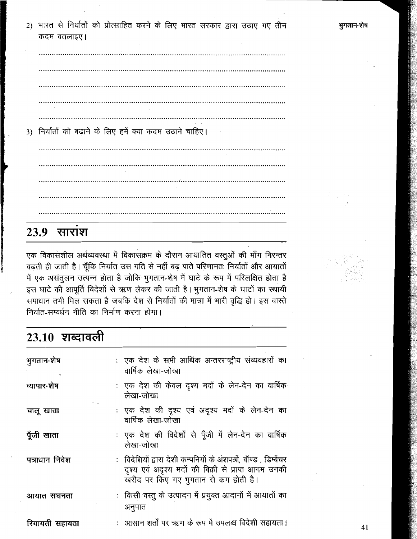2) भारत से निर्यातों को प्रोत्साहित करने के लिए भारत सरकार द्वारा उठाए गए तीन कदम बतलाइए।

3) निर्यातों को बढ़ाने के लिए हमें क्या कदम उठाने चाहिए।

### $23.9$  सारांश

एक विकासशील अर्थव्यवस्था में विकासक्रम के दौरान आयातित वस्तुओं की माँग निरन्तर बढ़ती ही जाती है। चूँकि निर्यात उस गति से नहीं बढ़ पाते परिणामतः निर्यातों और आयातों में एक असंतूलन उत्पन्न होता है जोकि भूगतान-शेष में घाटे के रूप में परिलक्षित होता है इस घाटे की आपूर्ति विदेशों से ऋण लेकर की जाती है। भुगतान-शेष के घाटों का स्थायी समाधान तभी मिल सकता है जबकि देश से निर्यातों की मात्रा में भारी वृद्धि हो। इस वास्ते निर्यात-सम्वर्धन नीति का निर्माण करना होगा।

## 23.10 शब्दावली

| भुगतान-शेष     | : एक देश के सभी आर्थिक अन्तरराष्ट्रीय संव्यवहारों का<br>वार्षिक लेखा-जोखा                                                                                        |
|----------------|------------------------------------------------------------------------------------------------------------------------------------------------------------------|
| व्यापार-शेष    | : एक देश की केवल दृश्य मदों के लेन-देन का वार्षिक<br>लेखा-जोखा                                                                                                   |
| चालू खाता      | : एक देश की दृश्य एवं अदृश्य मदों के लेन-देन का<br>वार्षिक लेखा-जोखा                                                                                             |
| पूँजी खाता     | : एक देश की विदेशों से पूँजी में लेन-देन का वार्षिक<br>लेखा-जोखा                                                                                                 |
| पत्राधान निवेश | : विदेशियों द्वारा देशी कम्पनियों के अंशपत्रों, बॉण्ड , डिम्बेंचर<br>दृश्य एवं अदृश्य मदों की बिक्री से प्राप्त आगम उनकी<br>खरीद पर किए गए भुगतान से कम होती है। |
| आयात सघनता     | : किसी वस्तु के उत्पादन में प्रयुक्त आदानों में आयातों का<br>अनुपात                                                                                              |
| रियायती सहायता | :   आसान शर्तों पर ऋण के रूप में उपलब्ध विदेशी सहायता।                                                                                                           |